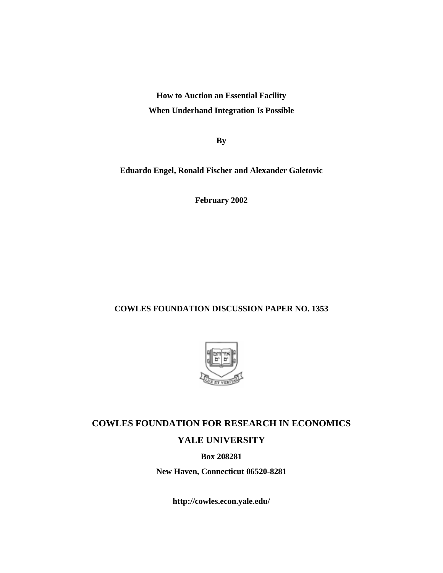**How to Auction an Essential Facility When Underhand Integration Is Possible**

**By**

**Eduardo Engel, Ronald Fischer and Alexander Galetovic**

**February 2002**

### **COWLES FOUNDATION DISCUSSION PAPER NO. 1353**



# **COWLES FOUNDATION FOR RESEARCH IN ECONOMICS YALE UNIVERSITY**

**Box 208281**

**New Haven, Connecticut 06520-8281**

**http://cowles.econ.yale.edu/**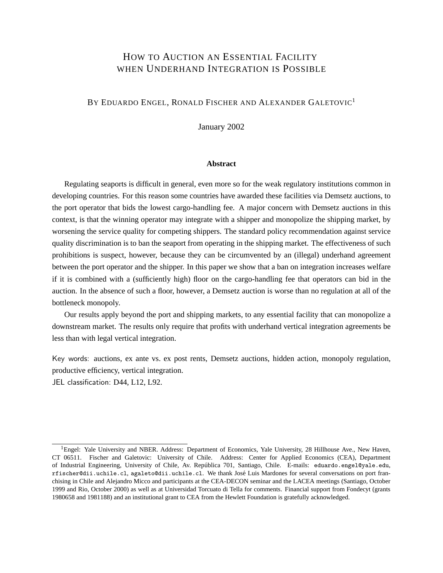## HOW TO AUCTION AN ESSENTIAL FACILITY WHEN UNDERHAND INTEGRATION IS POSSIBLE

### BY EDUARDO ENGEL, RONALD FISCHER AND ALEXANDER GALETOVIC<sup>1</sup>

January 2002

#### **Abstract**

Regulating seaports is difficult in general, even more so for the weak regulatory institutions common in developing countries. For this reason some countries have awarded these facilities via Demsetz auctions, to the port operator that bids the lowest cargo-handling fee. A major concern with Demsetz auctions in this context, is that the winning operator may integrate with a shipper and monopolize the shipping market, by worsening the service quality for competing shippers. The standard policy recommendation against service quality discrimination is to ban the seaport from operating in the shipping market. The effectiveness of such prohibitions is suspect, however, because they can be circumvented by an (illegal) underhand agreement between the port operator and the shipper. In this paper we show that a ban on integration increases welfare if it is combined with a (sufficiently high) floor on the cargo-handling fee that operators can bid in the auction. In the absence of such a floor, however, a Demsetz auction is worse than no regulation at all of the bottleneck monopoly.

Our results apply beyond the port and shipping markets, to any essential facility that can monopolize a downstream market. The results only require that profits with underhand vertical integration agreements be less than with legal vertical integration.

Key words: auctions, ex ante vs. ex post rents, Demsetz auctions, hidden action, monopoly regulation, productive efficiency, vertical integration. JEL classification: D44, L12, L92.

<sup>&</sup>lt;sup>1</sup>Engel: Yale University and NBER. Address: Department of Economics, Yale University, 28 Hillhouse Ave., New Haven, CT 06511. Fischer and Galetovic: University of Chile. Address: Center for Applied Economics (CEA), Department of Industrial Engineering, University of Chile, Av. República 701, Santiago, Chile. E-mails: eduardo.engel@yale.edu, rfischer@dii.uchile.cl, agaleto@dii.uchile.cl. We thank Jose Luis Mardones for several conversations on port fran- ´ chising in Chile and Alejandro Micco and participants at the CEA-DECON seminar and the LACEA meetings (Santiago, October 1999 and Rio, October 2000) as well as at Universidad Torcuato di Tella for comments. Financial support from Fondecyt (grants 1980658 and 1981188) and an institutional grant to CEA from the Hewlett Foundation is gratefully acknowledged.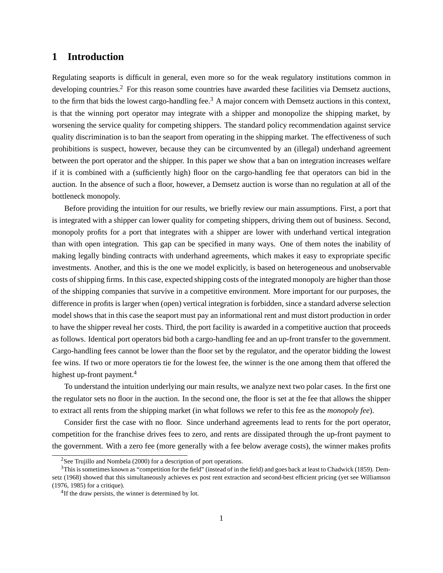### **1 Introduction**

Regulating seaports is difficult in general, even more so for the weak regulatory institutions common in developing countries.<sup>2</sup> For this reason some countries have awarded these facilities via Demsetz auctions, to the firm that bids the lowest cargo-handling fee.<sup>3</sup> A major concern with Demsetz auctions in this context, is that the winning port operator may integrate with a shipper and monopolize the shipping market, by worsening the service quality for competing shippers. The standard policy recommendation against service quality discrimination is to ban the seaport from operating in the shipping market. The effectiveness of such prohibitions is suspect, however, because they can be circumvented by an (illegal) underhand agreement between the port operator and the shipper. In this paper we show that a ban on integration increases welfare if it is combined with a (sufficiently high) floor on the cargo-handling fee that operators can bid in the auction. In the absence of such a floor, however, a Demsetz auction is worse than no regulation at all of the bottleneck monopoly.

Before providing the intuition for our results, we briefly review our main assumptions. First, a port that is integrated with a shipper can lower quality for competing shippers, driving them out of business. Second, monopoly profits for a port that integrates with a shipper are lower with underhand vertical integration than with open integration. This gap can be specified in many ways. One of them notes the inability of making legally binding contracts with underhand agreements, which makes it easy to expropriate specific investments. Another, and this is the one we model explicitly, is based on heterogeneous and unobservable costs of shipping firms. In this case, expected shipping costs of the integrated monopoly are higher than those of the shipping companies that survive in a competitive environment. More important for our purposes, the difference in profits is larger when (open) vertical integration is forbidden, since a standard adverse selection model shows that in this case the seaport must pay an informational rent and must distort production in order to have the shipper reveal her costs. Third, the port facility is awarded in a competitive auction that proceeds as follows. Identical port operators bid both a cargo-handling fee and an up-front transfer to the government. Cargo-handling fees cannot be lower than the floor set by the regulator, and the operator bidding the lowest fee wins. If two or more operators tie for the lowest fee, the winner is the one among them that offered the highest up-front payment.<sup>4</sup>

To understand the intuition underlying our main results, we analyze next two polar cases. In the first one the regulator sets no floor in the auction. In the second one, the floor is set at the fee that allows the shipper to extract all rents from the shipping market (in what follows we refer to this fee as the *monopoly fee*).

Consider first the case with no floor. Since underhand agreements lead to rents for the port operator, competition for the franchise drives fees to zero, and rents are dissipated through the up-front payment to the government. With a zero fee (more generally with a fee below average costs), the winner makes profits

<sup>&</sup>lt;sup>2</sup>See Trujillo and Nombela (2000) for a description of port operations.

<sup>&</sup>lt;sup>3</sup>This is sometimes known as "competition for the field" (instead of in the field) and goes back at least to Chadwick (1859). Demsetz (1968) showed that this simultaneously achieves ex post rent extraction and second-best efficient pricing (yet see Williamson (1976, 1985) for a critique).

<sup>&</sup>lt;sup>4</sup>If the draw persists, the winner is determined by lot.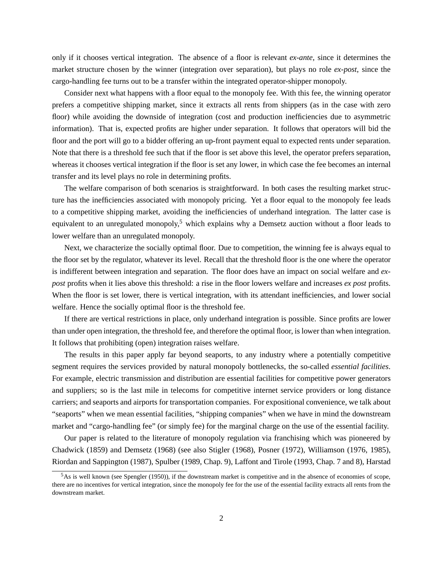only if it chooses vertical integration. The absence of a floor is relevant *ex-ante*, since it determines the market structure chosen by the winner (integration over separation), but plays no role *ex-post*, since the cargo-handling fee turns out to be a transfer within the integrated operator-shipper monopoly.

Consider next what happens with a floor equal to the monopoly fee. With this fee, the winning operator prefers a competitive shipping market, since it extracts all rents from shippers (as in the case with zero floor) while avoiding the downside of integration (cost and production inefficiencies due to asymmetric information). That is, expected profits are higher under separation. It follows that operators will bid the floor and the port will go to a bidder offering an up-front payment equal to expected rents under separation. Note that there is a threshold fee such that if the floor is set above this level, the operator prefers separation, whereas it chooses vertical integration if the floor is set any lower, in which case the fee becomes an internal transfer and its level plays no role in determining profits.

The welfare comparison of both scenarios is straightforward. In both cases the resulting market structure has the inefficiencies associated with monopoly pricing. Yet a floor equal to the monopoly fee leads to a competitive shipping market, avoiding the inefficiencies of underhand integration. The latter case is equivalent to an unregulated monopoly,<sup>5</sup> which explains why a Demsetz auction without a floor leads to lower welfare than an unregulated monopoly.

Next, we characterize the socially optimal floor. Due to competition, the winning fee is always equal to the floor set by the regulator, whatever its level. Recall that the threshold floor is the one where the operator is indifferent between integration and separation. The floor does have an impact on social welfare and *expost* profits when it lies above this threshold: a rise in the floor lowers welfare and increases *ex post* profits. When the floor is set lower, there is vertical integration, with its attendant inefficiencies, and lower social welfare. Hence the socially optimal floor is the threshold fee.

If there are vertical restrictions in place, only underhand integration is possible. Since profits are lower than under open integration, the threshold fee, and therefore the optimal floor, is lower than when integration. It follows that prohibiting (open) integration raises welfare.

The results in this paper apply far beyond seaports, to any industry where a potentially competitive segment requires the services provided by natural monopoly bottlenecks, the so-called *essential facilities*. For example, electric transmission and distribution are essential facilities for competitive power generators and suppliers; so is the last mile in telecoms for competitive internet service providers or long distance carriers; and seaports and airports for transportation companies. For expositional convenience, we talk about "seaports" when we mean essential facilities, "shipping companies" when we have in mind the downstream market and "cargo-handling fee" (or simply fee) for the marginal charge on the use of the essential facility.

Our paper is related to the literature of monopoly regulation via franchising which was pioneered by Chadwick (1859) and Demsetz (1968) (see also Stigler (1968), Posner (1972), Williamson (1976, 1985), Riordan and Sappington (1987), Spulber (1989, Chap. 9), Laffont and Tirole (1993, Chap. 7 and 8), Harstad

<sup>&</sup>lt;sup>5</sup>As is well known (see Spengler (1950)), if the downstream market is competitive and in the absence of economies of scope, there are no incentives for vertical integration, since the monopoly fee for the use of the essential facility extracts all rents from the downstream market.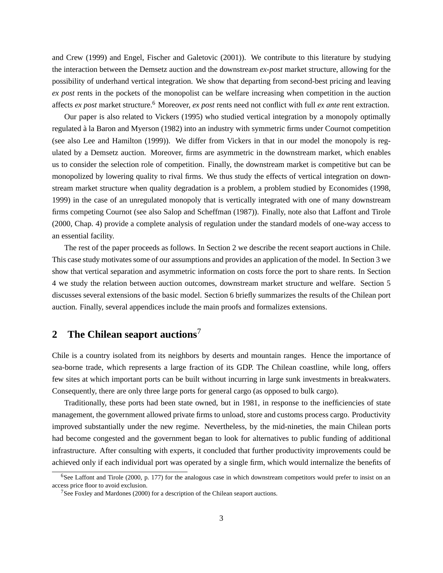and Crew (1999) and Engel, Fischer and Galetovic (2001)). We contribute to this literature by studying the interaction between the Demsetz auction and the downstream *ex-post* market structure, allowing for the possibility of underhand vertical integration. We show that departing from second-best pricing and leaving *ex post* rents in the pockets of the monopolist can be welfare increasing when competition in the auction affects *ex post* market structure.<sup>6</sup> Moreover, *ex post* rents need not conflict with full *ex ante* rent extraction.

Our paper is also related to Vickers (1995) who studied vertical integration by a monopoly optimally regulated a la Baron and Myerson (1982) into an industry with symmetric firms under Cournot competition ` (see also Lee and Hamilton (1999)). We differ from Vickers in that in our model the monopoly is regulated by a Demsetz auction. Moreover, firms are asymmetric in the downstream market, which enables us to consider the selection role of competition. Finally, the downstream market is competitive but can be monopolized by lowering quality to rival firms. We thus study the effects of vertical integration on downstream market structure when quality degradation is a problem, a problem studied by Economides (1998, 1999) in the case of an unregulated monopoly that is vertically integrated with one of many downstream firms competing Cournot (see also Salop and Scheffman (1987)). Finally, note also that Laffont and Tirole (2000, Chap. 4) provide a complete analysis of regulation under the standard models of one-way access to an essential facility.

The rest of the paper proceeds as follows. In Section 2 we describe the recent seaport auctions in Chile. This case study motivates some of our assumptions and provides an application of the model. In Section 3 we show that vertical separation and asymmetric information on costs force the port to share rents. In Section 4 we study the relation between auction outcomes, downstream market structure and welfare. Section 5 discusses several extensions of the basic model. Section 6 briefly summarizes the results of the Chilean port auction. Finally, several appendices include the main proofs and formalizes extensions.

# **2 The Chilean seaport auctions**<sup>7</sup>

Chile is a country isolated from its neighbors by deserts and mountain ranges. Hence the importance of sea-borne trade, which represents a large fraction of its GDP. The Chilean coastline, while long, offers few sites at which important ports can be built without incurring in large sunk investments in breakwaters. Consequently, there are only three large ports for general cargo (as opposed to bulk cargo).

Traditionally, these ports had been state owned, but in 1981, in response to the inefficiencies of state management, the government allowed private firms to unload, store and customs process cargo. Productivity improved substantially under the new regime. Nevertheless, by the mid-nineties, the main Chilean ports had become congested and the government began to look for alternatives to public funding of additional infrastructure. After consulting with experts, it concluded that further productivity improvements could be achieved only if each individual port was operated by a single firm, which would internalize the benefits of

 $6$ See Laffont and Tirole (2000, p. 177) for the analogous case in which downstream competitors would prefer to insist on an access price floor to avoid exclusion.

 $7$ See Foxley and Mardones (2000) for a description of the Chilean seaport auctions.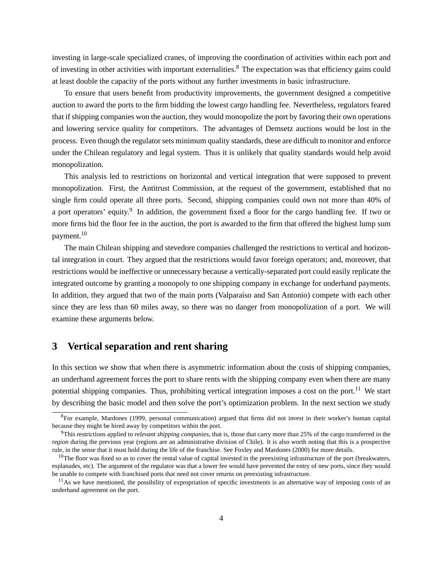investing in large-scale specialized cranes, of improving the coordination of activities within each port and of investing in other activities with important externalities.<sup>8</sup> The expectation was that efficiency gains could at least double the capacity of the ports without any further investments in basic infrastructure.

To ensure that users benefit from productivity improvements, the government designed a competitive auction to award the ports to the firm bidding the lowest cargo handling fee. Nevertheless, regulators feared that if shipping companies won the auction, they would monopolize the port by favoring their own operations and lowering service quality for competitors. The advantages of Demsetz auctions would be lost in the process. Even though the regulator sets minimum quality standards, these are difficult to monitor and enforce under the Chilean regulatory and legal system. Thus it is unlikely that quality standards would help avoid monopolization.

This analysis led to restrictions on horizontal and vertical integration that were supposed to prevent monopolization. First, the Antitrust Commission, at the request of the government, established that no single firm could operate all three ports. Second, shipping companies could own not more than 40% of a port operators' equity.<sup>9</sup> In addition, the government fixed a floor for the cargo handling fee. If two or more firms bid the floor fee in the auction, the port is awarded to the firm that offered the highest lump sum payment.<sup>10</sup>

The main Chilean shipping and stevedore companies challenged the restrictions to vertical and horizontal integration in court. They argued that the restrictions would favor foreign operators; and, moreover, that restrictions would be ineffective or unnecessary because a vertically-separated port could easily replicate the integrated outcome by granting a monopoly to one shipping company in exchange for underhand payments. In addition, they argued that two of the main ports (Valparaíso and San Antonio) compete with each other since they are less than 60 miles away, so there was no danger from monopolization of a port. We will examine these arguments below.

### **3 Vertical separation and rent sharing**

In this section we show that when there is asymmetric information about the costs of shipping companies, an underhand agreement forces the port to share rents with the shipping company even when there are many potential shipping companies. Thus, prohibiting vertical integration imposes a cost on the port.<sup>11</sup> We start by describing the basic model and then solve the port's optimization problem. In the next section we study

<sup>&</sup>lt;sup>8</sup>For example, Mardones (1999, personal communication) argued that firms did not invest in their worker's human capital because they might be hired away by competitors within the port.

<sup>9</sup>This restrictions applied to *relevant shipping companies*, that is, those that carry more than 25% of the cargo transferred in the *region* during the previous year (regions are an administrative division of Chile). It is also worth noting that this is a prospective rule, in the sense that it must hold during the life of the franchise. See Foxley and Mardones (2000) for more details.

 $10$ The floor was fixed so as to cover the rental value of capital invested in the preexisting infrastructure of the port (breakwaters, esplanades, etc). The argument of the regulator was that a lower fee would have prevented the entry of new ports, since they would be unable to compete with franchised ports that need not cover returns on preexisting infrastructure.

 $11$ As we have mentioned, the possibility of expropriation of specific investments is an alternative way of imposing costs of an underhand agreement on the port.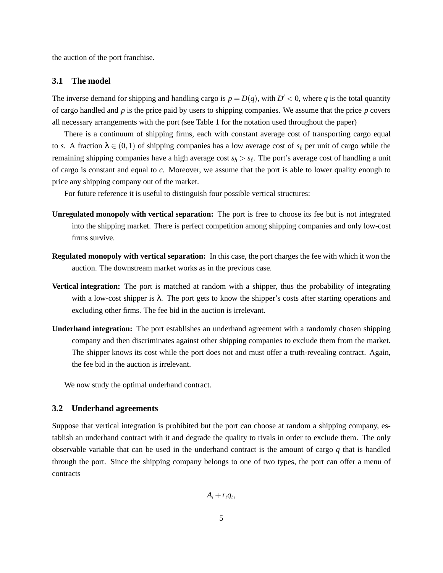the auction of the port franchise.

#### **3.1 The model**

The inverse demand for shipping and handling cargo is  $p = D(q)$ , with  $D' < 0$ , where q is the total quantity of cargo handled and *p* is the price paid by users to shipping companies. We assume that the price *p* covers all necessary arrangements with the port (see Table 1 for the notation used throughout the paper)

There is a continuum of shipping firms, each with constant average cost of transporting cargo equal to *s*. A fraction  $\lambda \in (0,1)$  of shipping companies has a low average cost of  $s_\ell$  per unit of cargo while the remaining shipping companies have a high average cost  $s_h > s_\ell$ . The port's average cost of handling a unit of cargo is constant and equal to *c*. Moreover, we assume that the port is able to lower quality enough to price any shipping company out of the market.

For future reference it is useful to distinguish four possible vertical structures:

- **Unregulated monopoly with vertical separation:** The port is free to choose its fee but is not integrated into the shipping market. There is perfect competition among shipping companies and only low-cost firms survive.
- **Regulated monopoly with vertical separation:** In this case, the port charges the fee with which it won the auction. The downstream market works as in the previous case.
- **Vertical integration:** The port is matched at random with a shipper, thus the probability of integrating with a low-cost shipper is λ. The port gets to know the shipper's costs after starting operations and excluding other firms. The fee bid in the auction is irrelevant.
- **Underhand integration:** The port establishes an underhand agreement with a randomly chosen shipping company and then discriminates against other shipping companies to exclude them from the market. The shipper knows its cost while the port does not and must offer a truth-revealing contract. Again, the fee bid in the auction is irrelevant.

We now study the optimal underhand contract.

#### **3.2 Underhand agreements**

Suppose that vertical integration is prohibited but the port can choose at random a shipping company, establish an underhand contract with it and degrade the quality to rivals in order to exclude them. The only observable variable that can be used in the underhand contract is the amount of cargo *q* that is handled through the port. Since the shipping company belongs to one of two types, the port can offer a menu of contracts

 $A_i + r_i q_i$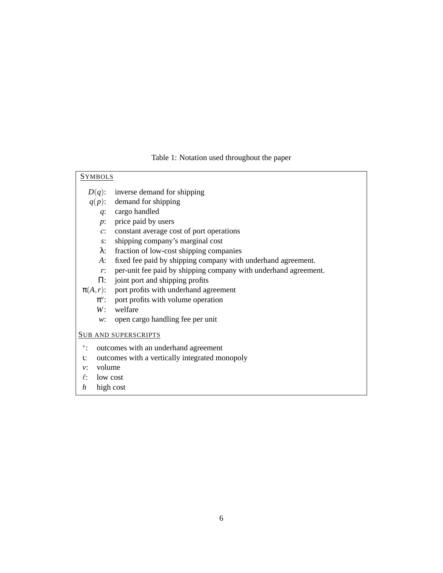Table 1: Notation used throughout the paper

| <b>SYMBOLS</b>                                                     |                                                                 |
|--------------------------------------------------------------------|-----------------------------------------------------------------|
| $D(q)$ :                                                           | inverse demand for shipping                                     |
|                                                                    | $q(p)$ : demand for shipping                                    |
|                                                                    | $q$ : cargo handled                                             |
| $p$ :                                                              | price paid by users                                             |
| $\overline{c}$ :                                                   | constant average cost of port operations                        |
| $S^{\star}$                                                        | shipping company's marginal cost                                |
| λ:                                                                 | fraction of low-cost shipping companies                         |
| $A$ :                                                              | fixed fee paid by shipping company with underhand agreement.    |
| r:                                                                 | per-unit fee paid by shipping company with underhand agreement. |
|                                                                    | $\Pi$ : joint port and shipping profits                         |
|                                                                    | $\pi(A,r)$ : port profits with underhand agreement              |
|                                                                    | $\pi^v$ : port profits with volume operation                    |
| W:                                                                 | welfare                                                         |
| W:                                                                 | open cargo handling fee per unit                                |
| <b>SUB AND SUPERSCRIPTS</b>                                        |                                                                 |
| $\ddot{\hspace{0.1cm}}$ :<br>outcomes with an underhand agreement  |                                                                 |
| outcomes with a vertically integrated monopoly<br>$\mathfrak{t}$ : |                                                                 |
| volume<br>$v^*$                                                    |                                                                 |

- *v*: volume<br> $\ell$ : low cos
- low cost *h* high cost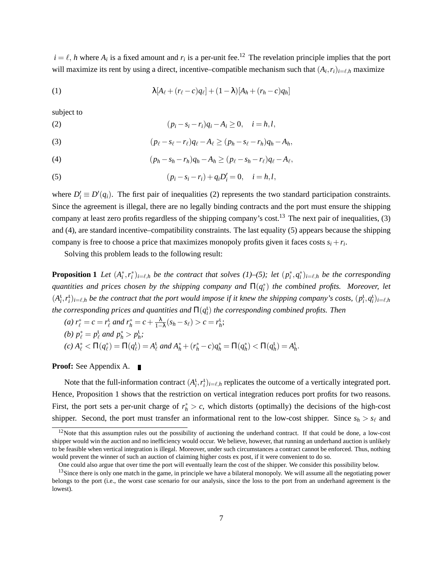$i = \ell$ , *h* where  $A_i$  is a fixed amount and  $r_i$  is a per-unit fee.<sup>12</sup> The revelation principle implies that the port will maximize its rent by using a direct, incentive–compatible mechanism such that  $(A_i, r_i)_{i=\ell, h}$  maximize

(1) 
$$
\lambda [A_{\ell} + (r_{\ell} - c)q_{\ell}] + (1 - \lambda)[A_h + (r_h - c)q_h]
$$

subject to

(2) 
$$
(p_i - s_i - r_i)q_i - A_i \ge 0, \quad i = h, l,
$$

(3) 
$$
(p_{\ell} - s_{\ell} - r_{\ell})q_{\ell} - A_{\ell} \ge (p_h - s_{\ell} - r_h)q_h - A_h,
$$

(4) 
$$
(p_h - s_h - r_h)q_h - A_h \ge (p_{\ell} - s_h - r_{\ell})q_{\ell} - A_{\ell},
$$

(5) 
$$
(p_i - s_i - r_i) + q_i D'_i = 0, \quad i = h, l,
$$

where  $D'_i \equiv D'(q_i)$ . The first pair of inequalities (2) represents the two standard participation constraints. Since the agreement is illegal, there are no legally binding contracts and the port must ensure the shipping company at least zero profits regardless of the shipping company's cost.<sup>13</sup> The next pair of inequalities,  $(3)$ and (4), are standard incentive–compatibility constraints. The last equality (5) appears because the shipping company is free to choose a price that maximizes monopoly profits given it faces costs  $s_i + r_i$ .

Solving this problem leads to the following result:

**Proposition 1** Let  $(A_i^*, r_i^*)_{i=\ell,h}$  be the contract that solves (1)–(5); let  $(p_i^*, q_i^*)_{i=\ell,h}$  be the corresponding  $q$ uantities and prices chosen by the shipping company and  $\Pi(q_i^*)$  the combined profits. Moreover, let  $(A_i^1, r_i^1)_{i=l,h}$  *be the contract that the port would impose if it knew the shipping company's costs,*  $(p_i^1, q_i^1)_{i=l,h}$ *the corresponding prices and quantities and*  $\Pi(q^{\text{t}}_{i})$  *the corresponding combined profits. Then* 

(a) 
$$
r_{\ell}^{*} = c = r_{\ell}^{1}
$$
 and  $r_{h}^{*} = c + \frac{\lambda}{1-\lambda}(s_{h} - s_{\ell}) > c = r_{h}^{1}$ ;  
\n(b)  $p_{\ell}^{*} = p_{\ell}^{1}$  and  $p_{h}^{*} > p_{h}^{1}$ ;  
\n(c)  $A_{\ell}^{*} < \Pi(q_{\ell}^{*}) = \Pi(q_{\ell}^{1}) = A_{\ell}^{1}$  and  $A_{h}^{*} + (r_{h}^{*} - c)q_{h}^{*} = \Pi(q_{h}^{*}) < \Pi(q_{h}^{1}) = A_{h}^{1}$ .

#### **Proof:** See Appendix A.  $\blacksquare$

Note that the full-information contract  $(A_i^t, r_i^t)_{i=\ell,h}$  replicates the outcome of a vertically integrated port. Hence, Proposition 1 shows that the restriction on vertical integration reduces port profits for two reasons. First, the port sets a per-unit charge of  $r_h^* > c$ , which distorts (optimally) the decisions of the high-cost shipper. Second, the port must transfer an informational rent to the low-cost shipper. Since  $s_h > s_\ell$  and

 $12$ Note that this assumption rules out the possibility of auctioning the underhand contract. If that could be done, a low-cost shipper would win the auction and no inefficiency would occur. We believe, however, that running an underhand auction is unlikely to be feasible when vertical integration is illegal. Moreover, under such circumstances a contract cannot be enforced. Thus, nothing would prevent the winner of such an auction of claiming higher costs ex post, if it were convenient to do so.

One could also argue that over time the port will eventually learn the cost of the shipper. We consider this possibility below.

<sup>&</sup>lt;sup>13</sup>Since there is only one match in the game, in principle we have a bilateral monopoly. We will assume all the negotiating power belongs to the port (i.e., the worst case scenario for our analysis, since the loss to the port from an underhand agreement is the lowest).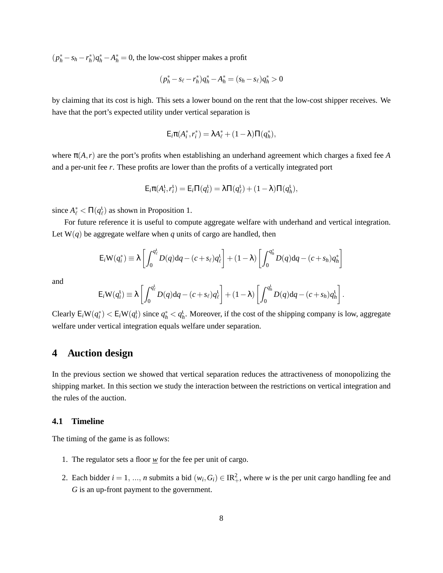$(p_h^* - s_h - r_h^*)q_h^* - A_h^* = 0$ , the low-cost shipper makes a profit

$$
(p_h^* - s_\ell - r_h^*)q_h^* - A_h^* = (s_h - s_\ell)q_h^* > 0
$$

by claiming that its cost is high. This sets a lower bound on the rent that the low-cost shipper receives. We have that the port's expected utility under vertical separation is

$$
\mathsf{E}_i \pi(A_i^*,r_i^*) = \lambda A_\ell^* + (1-\lambda)\Pi(q_h^*),
$$

where  $\pi(A,r)$  are the port's profits when establishing an underhand agreement which charges a fixed fee *A* and a per-unit fee *r*. These profits are lower than the profits of a vertically integrated port

$$
\mathsf{E}_i \pi(A_i^{\mathrm{t}}, r_i^{\mathrm{t}}) = \mathsf{E}_i \Pi(q_i^{\mathrm{t}}) = \lambda \Pi(q_\ell^{\mathrm{t}}) + (1 - \lambda) \Pi(q_h^{\mathrm{t}}),
$$

since  $A^*_{\ell} < \Pi(q_{\ell}^1)$  as shown in Proposition 1.

For future reference it is useful to compute aggregate welfare with underhand and vertical integration. Let  $W(q)$  be aggregate welfare when q units of cargo are handled, then

$$
\mathsf{E}_{i}\mathsf{W}(q_{i}^{*})\equiv\lambda\left[\int_{0}^{q_{\ell}^{*}}D(q)\mathrm{d}q-(c+s_{\ell})q_{\ell}^{t}\right]+(1-\lambda)\left[\int_{0}^{q_{h}^{*}}D(q)\mathrm{d}q-(c+s_{h})q_{h}^{*}\right]
$$

and

$$
\mathsf{E}_{i}\mathsf{W}(q_i^{\mathsf{t}}) \equiv \lambda \left[ \int_0^{q_\ell^{\mathsf{t}}} D(q) \mathrm{d}q - (c+s_\ell) q_\ell^{\mathsf{t}} \right] + (1-\lambda) \left[ \int_0^{q_h^{\mathsf{t}}} D(q) \mathrm{d}q - (c+s_h) q_h^{\mathsf{t}} \right].
$$

Clearly  $E_i W(q_i^*) < E_i W(q_i^t)$  since  $q_h^* < q_h^t$ . Moreover, if the cost of the shipping company is low, aggregate welfare under vertical integration equals welfare under separation.

### **4 Auction design**

In the previous section we showed that vertical separation reduces the attractiveness of monopolizing the shipping market. In this section we study the interaction between the restrictions on vertical integration and the rules of the auction.

### **4.1 Timeline**

The timing of the game is as follows:

- 1. The regulator sets a floor *w* for the fee per unit of cargo.
- 2. Each bidder  $i = 1, ..., n$  submits a bid  $(w_i, G_i) \in \mathbb{R}^2_+$ , where *w* is the per unit cargo handling fee and *G* is an up-front payment to the government.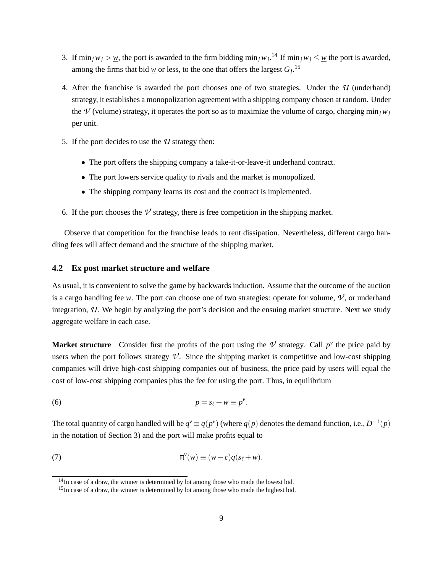- 3. If  $\min_j w_j > w$ , the port is awarded to the firm bidding  $\min_j w_j$ .<sup>14</sup> If  $\min_j w_j \leq w$  the port is awarded, among the firms that bid <u>*w*</u> or less, to the one that offers the largest  $G_j$ .<sup>15</sup>
- 4. After the franchise is awarded the port chooses one of two strategies. Under the *U* (underhand) strategy, it establishes a monopolization agreement with a shipping company chosen at random. Under the  $\mathcal{V}$  (volume) strategy, it operates the port so as to maximize the volume of cargo, charging min<sub>*i*</sub>  $w_i$ per unit.
- 5. If the port decides to use the *U* strategy then:
	- The port offers the shipping company a take-it-or-leave-it underhand contract.
	- The port lowers service quality to rivals and the market is monopolized.
	- The shipping company learns its cost and the contract is implemented.
- 6. If the port chooses the  $\nu$  strategy, there is free competition in the shipping market.

Observe that competition for the franchise leads to rent dissipation. Nevertheless, different cargo handling fees will affect demand and the structure of the shipping market.

#### **4.2 Ex post market structure and welfare**

As usual, it is convenient to solve the game by backwards induction. Assume that the outcome of the auction is a cargo handling fee *w*. The port can choose one of two strategies: operate for volume,  $\mathcal{V}$ , or underhand integration, *U*. We begin by analyzing the port's decision and the ensuing market structure. Next we study aggregate welfare in each case.

**Market structure** Consider first the profits of the port using the  $\mathcal V$  strategy. Call  $p^{\nu}$  the price paid by users when the port follows strategy  $\mathcal V$ . Since the shipping market is competitive and low-cost shipping companies will drive high-cost shipping companies out of business, the price paid by users will equal the cost of low-cost shipping companies plus the fee for using the port. Thus, in equilibrium

$$
p = s_{\ell} + w \equiv p^{\nu}.
$$

The total quantity of cargo handled will be  $q^v \equiv q(p^v)$  (where  $q(p)$  denotes the demand function, i.e.,  $D^{-1}(p)$ in the notation of Section 3) and the port will make profits equal to

(7) 
$$
\pi^{\nu}(w) \equiv (w-c)q(s_{\ell}+w).
$$

<sup>&</sup>lt;sup>14</sup>In case of a draw, the winner is determined by lot among those who made the lowest bid.

<sup>&</sup>lt;sup>15</sup>In case of a draw, the winner is determined by lot among those who made the highest bid.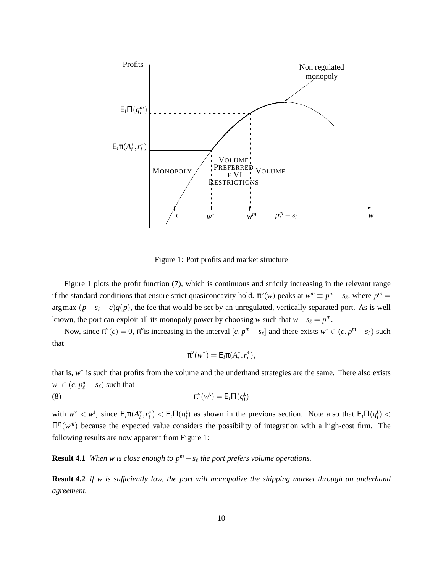

Figure 1: Port profits and market structure

Figure 1 plots the profit function (7), which is continuous and strictly increasing in the relevant range if the standard conditions that ensure strict quasiconcavity hold.  $\pi^{\nu}(w)$  peaks at  $w^m \equiv p^m - s_\ell$ , where  $p^m =$ argmax  $(p - s_\ell - c)q(p)$ , the fee that would be set by an unregulated, vertically separated port. As is well known, the port can exploit all its monopoly power by choosing *w* such that  $w + s_\ell = p^m$ .

Now, since  $\pi^{\nu}(c) = 0$ ,  $\pi^{\nu}$  is increasing in the interval  $[c, p^m - s_\ell]$  and there exists  $w^* \in (c, p^m - s_\ell)$  such that

$$
\pi^v(w^*)=\mathsf{E}_i\pi(A_i^*,r_i^*),
$$

that is, w<sup>\*</sup> is such that profits from the volume and the underhand strategies are the same. There also exists  $w^{\text{t}} \in (c, p^m_{\ell} - s_{\ell})$  such that

(8) 
$$
\pi^{\nu}(w^{\iota}) = E_i \Pi(q_i^{\iota})
$$

with  $w^* < w^1$ , since  $E_i \pi(A_i^*, r_i^*) < E_i \Pi(q_i^1)$  as shown in the previous section. Note also that  $E_i \Pi(q_i^1) <$  $\Pi^{n}(w^{m})$  because the expected value considers the possibility of integration with a high-cost firm. The following results are now apparent from Figure 1:

**Result 4.1** *When w* is close enough to  $p^m - s_\ell$  the port prefers volume operations.

**Result 4.2** *If w is sufficiently low, the port will monopolize the shipping market through an underhand agreement.*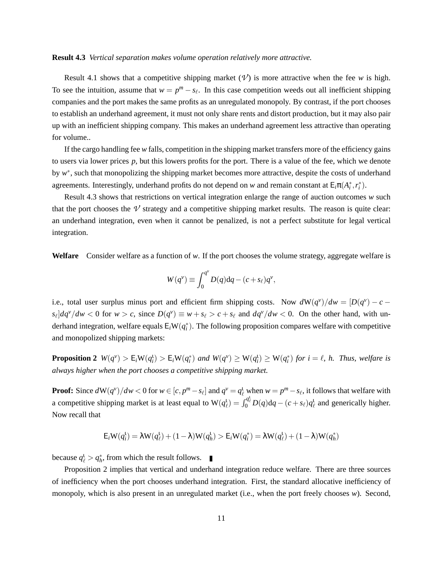#### **Result 4.3** *Vertical separation makes volume operation relatively more attractive.*

Result 4.1 shows that a competitive shipping market  $(V)$  is more attractive when the fee *w* is high. To see the intuition, assume that  $w = p^m - s_\ell$ . In this case competition weeds out all inefficient shipping companies and the port makes the same profits as an unregulated monopoly. By contrast, if the port chooses to establish an underhand agreement, it must not only share rents and distort production, but it may also pair up with an inefficient shipping company. This makes an underhand agreement less attractive than operating for volume..

If the cargo handling fee *w* falls, competition in the shipping market transfers more of the efficiency gains to users via lower prices *p*, but this lowers profits for the port. There is a value of the fee, which we denote by w<sup>\*</sup>, such that monopolizing the shipping market becomes more attractive, despite the costs of underhand agreements. Interestingly, underhand profits do not depend on *w* and remain constant at  $E_i \pi(A_i^*, r_i^*)$ .

Result 4.3 shows that restrictions on vertical integration enlarge the range of auction outcomes *w* such that the port chooses the  $\nu$  strategy and a competitive shipping market results. The reason is quite clear: an underhand integration, even when it cannot be penalized, is not a perfect substitute for legal vertical integration.

**Welfare** Consider welfare as a function of *w*. If the port chooses the volume strategy, aggregate welfare is

$$
W(q^v) \equiv \int_0^{q^v} D(q) \mathrm{d}q - (c + s_\ell) q^v,
$$

i.e., total user surplus minus port and efficient firm shipping costs. Now  $dW(q^v)/dw = [D(q^v) - c$  $s_{\ell}$  |*dq<sup>v</sup>* /*dw* < 0 for *w* > *c*, since  $D(q^{\nu}) \equiv w + s_{\ell} > c + s_{\ell}$  and  $dq^{\nu}$  /*dw* < 0. On the other hand, with underhand integration, welfare equals  $E_iW(q_i^*)$ . The following proposition compares welfare with competitive and monopolized shipping markets:

**Proposition 2**  $W(q^{\nu}) > E_i W(q_i^1) > E_i W(q_i^*)$  and  $W(q^{\nu}) \ge W(q_i^1) \ge W(q_i^*)$  for  $i = \ell$ , h. Thus, welfare is *always higher when the port chooses a competitive shipping market.*

**Proof:** Since  $dW(q^v)/dw < 0$  for  $w \in [c, p^m - s_\ell]$  and  $q^v = q_\ell^1$  when  $w = p^m - s_\ell$ , it follows that welfare with a competitive shipping market is at least equal to  $W(q_\ell^1) = \int_0^{q_\ell^1} D(q) dq - (c + s_\ell) q_\ell^1$  and generically higher. Now recall that

$$
\mathsf{E}_i \mathsf{W}(q_i^{\mathsf{t}}) = \lambda \mathsf{W}(q_\ell^{\mathsf{t}}) + (1 - \lambda) \mathsf{W}(q_h^{\mathsf{t}}) > \mathsf{E}_i \mathsf{W}(q_i^{\mathsf{t}}) = \lambda \mathsf{W}(q_\ell^{\mathsf{t}}) + (1 - \lambda) \mathsf{W}(q_h^{\mathsf{t}})
$$

because  $q_{\ell}^1 > q_h^*$ , from which the result follows.

Proposition 2 implies that vertical and underhand integration reduce welfare. There are three sources of inefficiency when the port chooses underhand integration. First, the standard allocative inefficiency of monopoly, which is also present in an unregulated market (i.e., when the port freely chooses *w*). Second,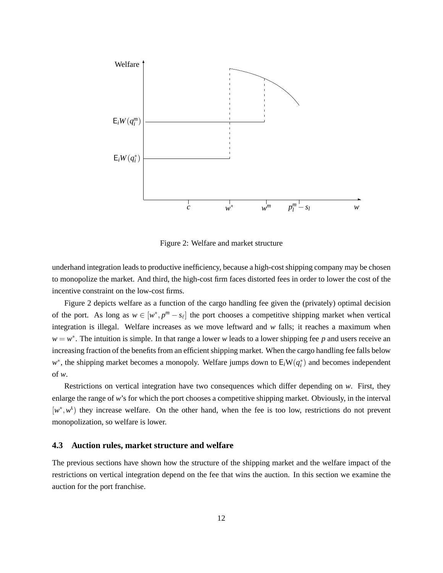

Figure 2: Welfare and market structure

underhand integration leads to productive inefficiency, because a high-cost shipping company may be chosen to monopolize the market. And third, the high-cost firm faces distorted fees in order to lower the cost of the incentive constraint on the low-cost firms.

Figure 2 depicts welfare as a function of the cargo handling fee given the (privately) optimal decision of the port. As long as  $w \in [w^*, p^m - s_\ell]$  the port chooses a competitive shipping market when vertical integration is illegal. Welfare increases as we move leftward and *w* falls; it reaches a maximum when  $w = w^*$ . The intuition is simple. In that range a lower *w* leads to a lower shipping fee *p* and users receive an increasing fraction of the benefits from an efficient shipping market. When the cargo handling fee falls below *w*<sup>∗</sup>, the shipping market becomes a monopoly. Welfare jumps down to  $E_iW(q_i^*)$  and becomes independent of *w*.

Restrictions on vertical integration have two consequences which differ depending on *w*. First, they enlarge the range of *w*'s for which the port chooses a competitive shipping market. Obviously, in the interval [w<sup>\*</sup>, w<sup>t</sup>) they increase welfare. On the other hand, when the fee is too low, restrictions do not prevent monopolization, so welfare is lower.

#### **4.3 Auction rules, market structure and welfare**

The previous sections have shown how the structure of the shipping market and the welfare impact of the restrictions on vertical integration depend on the fee that wins the auction. In this section we examine the auction for the port franchise.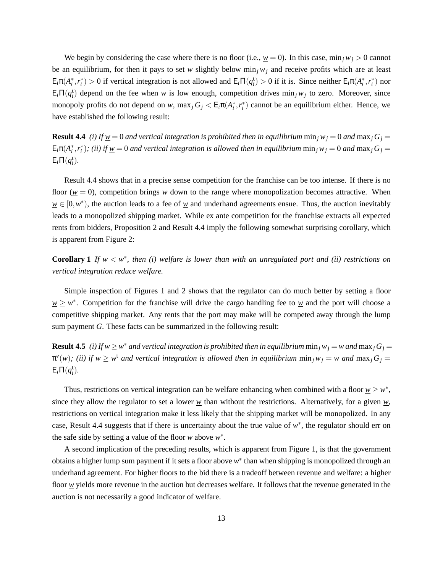We begin by considering the case where there is no floor (i.e.,  $w = 0$ ). In this case, min<sub>*j*</sub>  $w_j > 0$  cannot be an equilibrium, for then it pays to set *w* slightly below min<sub>j</sub>  $w_j$  and receive profits which are at least  $E_i\pi(A_i^*, r_i^*) > 0$  if vertical integration is not allowed and  $E_i\Pi(q_i^1) > 0$  if it is. Since neither  $E_i\pi(A_i^*, r_i^*)$  nor  $E_i\Pi(q_i^1)$  depend on the fee when *w* is low enough, competition drives min<sub>j</sub> *w*<sub>j</sub> to zero. Moreover, since monopoly profits do not depend on *w*,  $\max_j G_j < E_i \pi(A_i^*, r_i^*)$  cannot be an equilibrium either. Hence, we have established the following result:

**Result 4.4** *(i) If*  $w = 0$  *and vertical integration is prohibited then in equilibrium* min<sub>*j*</sub>  $w_j = 0$  *and* max<sub>*j*</sub>  $G_j =$  $E_i\pi(A_i^*,r_i^*)$ ; (ii) if  $\underline{w} = 0$  and vertical integration is allowed then in equilibrium  $\min_j w_j = 0$  and  $\max_j G_j = 0$  $E_i\Pi(q_i)$ .

Result 4.4 shows that in a precise sense competition for the franchise can be too intense. If there is no floor ( $w = 0$ ), competition brings *w* down to the range where monopolization becomes attractive. When  $w \in [0, w^*)$ , the auction leads to a fee of w and underhand agreements ensue. Thus, the auction inevitably leads to a monopolized shipping market. While ex ante competition for the franchise extracts all expected rents from bidders, Proposition 2 and Result 4.4 imply the following somewhat surprising corollary, which is apparent from Figure 2:

**Corollary 1** *If*  $w \leq w^*$ , then (i) welfare is lower than with an unregulated port and (ii) restrictions on *vertical integration reduce welfare.*

Simple inspection of Figures 1 and 2 shows that the regulator can do much better by setting a floor  $w \geq w^*$ . Competition for the franchise will drive the cargo handling fee to  $w$  and the port will choose a competitive shipping market. Any rents that the port may make will be competed away through the lump sum payment *G*. These facts can be summarized in the following result:

**Result 4.5** *(i)* If  $w \geq w^*$  and vertical integration is prohibited then in equilibrium  $\min_j w_j = w$  and  $\max_j G_j = w$  $\pi^{\nu}(\underline{w})$ ; (ii) if  $\underline{w} \geq w^{\nu}$  and vertical integration is allowed then in equilibrium  $\min_j w_j = \underline{w}$  and  $\max_j G_j = \pi^{\nu}(\underline{w})$  $E_i\Pi(q_i)$ .

Thus, restrictions on vertical integration can be welfare enhancing when combined with a floor  $w \geq w^*$ , since they allow the regulator to set a lower  $w$  than without the restrictions. Alternatively, for a given  $w$ , restrictions on vertical integration make it less likely that the shipping market will be monopolized. In any case, Result 4.4 suggests that if there is uncertainty about the true value of  $w^*$ , the regulator should err on the safe side by setting a value of the floor  $w$  above  $w^*$ .

A second implication of the preceding results, which is apparent from Figure 1, is that the government obtains a higher lump sum payment if it sets a floor above *w*<sup>∗</sup> than when shipping is monopolized through an underhand agreement. For higher floors to the bid there is a tradeoff between revenue and welfare: a higher floor *w* yields more revenue in the auction but decreases welfare. It follows that the revenue generated in the auction is not necessarily a good indicator of welfare.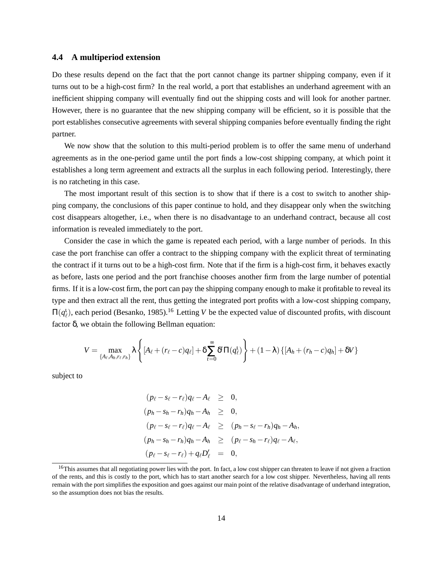#### **4.4 A multiperiod extension**

Do these results depend on the fact that the port cannot change its partner shipping company, even if it turns out to be a high-cost firm? In the real world, a port that establishes an underhand agreement with an inefficient shipping company will eventually find out the shipping costs and will look for another partner. However, there is no guarantee that the new shipping company will be efficient, so it is possible that the port establishes consecutive agreements with several shipping companies before eventually finding the right partner.

We now show that the solution to this multi-period problem is to offer the same menu of underhand agreements as in the one-period game until the port finds a low-cost shipping company, at which point it establishes a long term agreement and extracts all the surplus in each following period. Interestingly, there is no ratcheting in this case.

The most important result of this section is to show that if there is a cost to switch to another shipping company, the conclusions of this paper continue to hold, and they disappear only when the switching cost disappears altogether, i.e., when there is no disadvantage to an underhand contract, because all cost information is revealed immediately to the port.

Consider the case in which the game is repeated each period, with a large number of periods. In this case the port franchise can offer a contract to the shipping company with the explicit threat of terminating the contract if it turns out to be a high-cost firm. Note that if the firm is a high-cost firm, it behaves exactly as before, lasts one period and the port franchise chooses another firm from the large number of potential firms. If it is a low-cost firm, the port can pay the shipping company enough to make it profitable to reveal its type and then extract all the rent, thus getting the integrated port profits with a low-cost shipping company,  $\Pi(q_\ell^1)$ , each period (Besanko, 1985).<sup>16</sup> Letting *V* be the expected value of discounted profits, with discount factor δ, we obtain the following Bellman equation:

$$
V = \max_{\{A_{\ell}, A_h, r_{\ell}, r_h\}} \lambda \left\{ [A_{\ell} + (r_{\ell} - c)q_{\ell}] + \delta \sum_{t=0}^{\infty} \delta^t \Pi(q_{\ell}^1) \right\} + (1 - \lambda) \left\{ [A_h + (r_h - c)q_h] + \delta V \right\}
$$

subject to

$$
(p_{\ell} - s_{\ell} - r_{\ell})q_{\ell} - A_{\ell} \geq 0,
$$
  
\n
$$
(p_h - s_h - r_h)q_h - A_h \geq 0,
$$
  
\n
$$
(p_{\ell} - s_{\ell} - r_{\ell})q_{\ell} - A_{\ell} \geq (p_h - s_{\ell} - r_h)q_h - A_h,
$$
  
\n
$$
(p_h - s_h - r_h)q_h - A_h \geq (p_{\ell} - s_h - r_{\ell})q_{\ell} - A_{\ell},
$$
  
\n
$$
(p_{\ell} - s_{\ell} - r_{\ell}) + q_{\ell}D'_{\ell} = 0,
$$

<sup>&</sup>lt;sup>16</sup>This assumes that all negotiating power lies with the port. In fact, a low cost shipper can threaten to leave if not given a fraction of the rents, and this is costly to the port, which has to start another search for a low cost shipper. Nevertheless, having all rents remain with the port simplifies the exposition and goes against our main point of the relative disadvantage of underhand integration, so the assumption does not bias the results.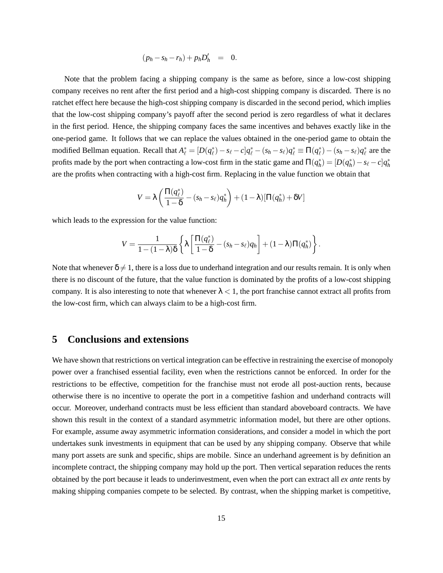$$
(p_h - s_h - r_h) + p_h D'_h = 0.
$$

Note that the problem facing a shipping company is the same as before, since a low-cost shipping company receives no rent after the first period and a high-cost shipping company is discarded. There is no ratchet effect here because the high-cost shipping company is discarded in the second period, which implies that the low-cost shipping company's payoff after the second period is zero regardless of what it declares in the first period. Hence, the shipping company faces the same incentives and behaves exactly like in the one-period game. It follows that we can replace the values obtained in the one-period game to obtain the modified Bellman equation. Recall that  $A_{\ell}^* = [D(q_{\ell}^*) - s_{\ell} - c]q_{\ell}^* - (s_h - s_{\ell})q_{\ell}^* \equiv \Pi(q_{\ell}^*) - (s_h - s_{\ell})q_{\ell}^*$  are the profits made by the port when contracting a low-cost firm in the static game and  $\Pi(q_h^*) = [D(q_h^*) - s_\ell - c]q_h^*$ are the profits when contracting with a high-cost firm. Replacing in the value function we obtain that

$$
V = \lambda \left( \frac{\Pi(q_\ell^*)}{1-\delta} - (s_h - s_\ell) q_h^* \right) + (1-\lambda) [\Pi(q_h^*) + \delta V]
$$

which leads to the expression for the value function:

$$
V = \frac{1}{1 - (1 - \lambda)\delta} \left\{ \lambda \left[ \frac{\Pi(q_\ell^*)}{1 - \delta} - (s_h - s_\ell) q_h \right] + (1 - \lambda) \Pi(q_h^*) \right\}.
$$

Note that whenever  $\delta \neq 1$ , there is a loss due to underhand integration and our results remain. It is only when there is no discount of the future, that the value function is dominated by the profits of a low-cost shipping company. It is also interesting to note that whenever  $\lambda < 1$ , the port franchise cannot extract all profits from the low-cost firm, which can always claim to be a high-cost firm.

### **5 Conclusions and extensions**

We have shown that restrictions on vertical integration can be effective in restraining the exercise of monopoly power over a franchised essential facility, even when the restrictions cannot be enforced. In order for the restrictions to be effective, competition for the franchise must not erode all post-auction rents, because otherwise there is no incentive to operate the port in a competitive fashion and underhand contracts will occur. Moreover, underhand contracts must be less efficient than standard aboveboard contracts. We have shown this result in the context of a standard asymmetric information model, but there are other options. For example, assume away asymmetric information considerations, and consider a model in which the port undertakes sunk investments in equipment that can be used by any shipping company. Observe that while many port assets are sunk and specific, ships are mobile. Since an underhand agreement is by definition an incomplete contract, the shipping company may hold up the port. Then vertical separation reduces the rents obtained by the port because it leads to underinvestment, even when the port can extract all *ex ante* rents by making shipping companies compete to be selected. By contrast, when the shipping market is competitive,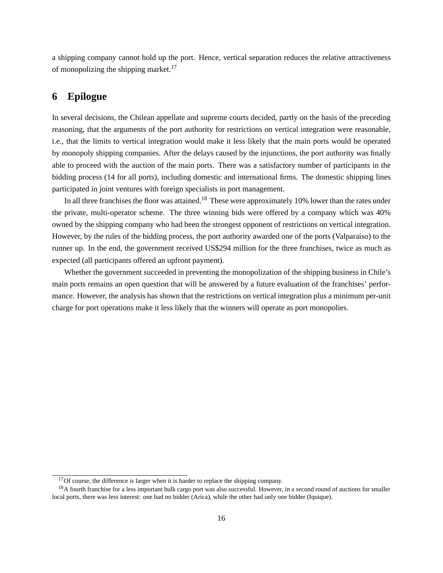a shipping company cannot hold up the port. Hence, vertical separation reduces the relative attractiveness of monopolizing the shipping market. $17$ 

## **6 Epilogue**

In several decisions, the Chilean appellate and supreme courts decided, partly on the basis of the preceding reasoning, that the arguments of the port authority for restrictions on vertical integration were reasonable, i.e., that the limits to vertical integration would make it less likely that the main ports would be operated by monopoly shipping companies. After the delays caused by the injunctions, the port authority was finally able to proceed with the auction of the main ports. There was a satisfactory number of participants in the bidding process (14 for all ports), including domestic and international firms. The domestic shipping lines participated in joint ventures with foreign specialists in port management.

In all three franchises the floor was attained.<sup>18</sup> These were approximately 10% lower than the rates under the private, multi-operator scheme. The three winning bids were offered by a company which was 40% owned by the shipping company who had been the strongest opponent of restrictions on vertical integration. However, by the rules of the bidding process, the port authority awarded one of the ports (Valparaíso) to the runner up. In the end, the government received US\$294 million for the three franchises, twice as much as expected (all participants offered an upfront payment).

Whether the government succeeded in preventing the monopolization of the shipping business in Chile's main ports remains an open question that will be answered by a future evaluation of the franchises' performance. However, the analysis has shown that the restrictions on vertical integration plus a minimum per-unit charge for port operations make it less likely that the winners will operate as port monopolies.

 $17$ Of course, the difference is larger when it is harder to replace the shipping company.

<sup>&</sup>lt;sup>18</sup>A fourth franchise for a less important bulk cargo port was also successful. However, in a second round of auctions for smaller local ports, there was less interest: one had no bidder (Arica), while the other had only one bidder (Iquique).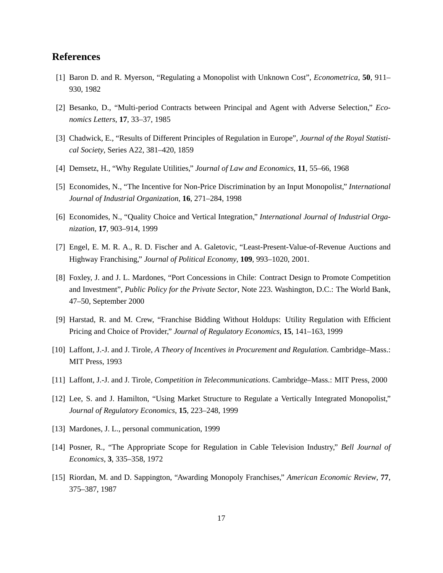### **References**

- [1] Baron D. and R. Myerson, "Regulating a Monopolist with Unknown Cost", *Econometrica*, **50**, 911– 930, 1982
- [2] Besanko, D., "Multi-period Contracts between Principal and Agent with Adverse Selection," *Economics Letters*, **17**, 33–37, 1985
- [3] Chadwick, E., "Results of Different Principles of Regulation in Europe", *Journal of the Royal Statistical Society*, Series A22, 381–420, 1859
- [4] Demsetz, H., "Why Regulate Utilities," *Journal of Law and Economics*, **11**, 55–66, 1968
- [5] Economides, N., "The Incentive for Non-Price Discrimination by an Input Monopolist," *International Journal of Industrial Organization*, **16**, 271–284, 1998
- [6] Economides, N., "Quality Choice and Vertical Integration," *International Journal of Industrial Organization*, **17**, 903–914, 1999
- [7] Engel, E. M. R. A., R. D. Fischer and A. Galetovic, "Least-Present-Value-of-Revenue Auctions and Highway Franchising," *Journal of Political Economy*, **109**, 993–1020, 2001.
- [8] Foxley, J. and J. L. Mardones, "Port Concessions in Chile: Contract Design to Promote Competition and Investment", *Public Policy for the Private Sector*, Note 223. Washington, D.C.: The World Bank, 47–50, September 2000
- [9] Harstad, R. and M. Crew, "Franchise Bidding Without Holdups: Utility Regulation with Efficient Pricing and Choice of Provider," *Journal of Regulatory Economics*, **15**, 141–163, 1999
- [10] Laffont, J.-J. and J. Tirole, *A Theory of Incentives in Procurement and Regulation*. Cambridge–Mass.: MIT Press, 1993
- [11] Laffont, J.-J. and J. Tirole, *Competition in Telecommunications*. Cambridge–Mass.: MIT Press, 2000
- [12] Lee, S. and J. Hamilton, "Using Market Structure to Regulate a Vertically Integrated Monopolist," *Journal of Regulatory Economics*, **15**, 223–248, 1999
- [13] Mardones, J. L., personal communication, 1999
- [14] Posner, R., "The Appropriate Scope for Regulation in Cable Television Industry," *Bell Journal of Economics*, **3**, 335–358, 1972
- [15] Riordan, M. and D. Sappington, "Awarding Monopoly Franchises," *American Economic Review*, **77**, 375–387, 1987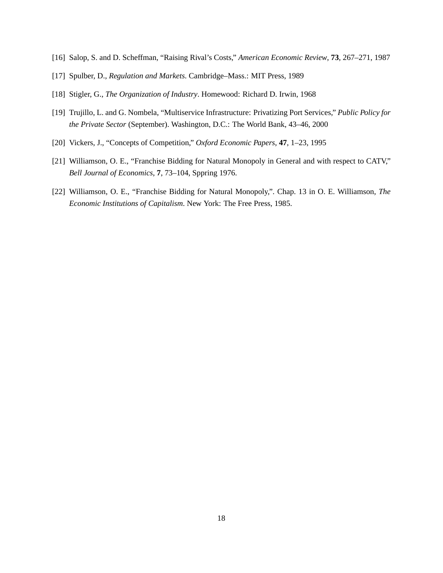- [16] Salop, S. and D. Scheffman, "Raising Rival's Costs," *American Economic Review*, **73**, 267–271, 1987
- [17] Spulber, D., *Regulation and Markets*. Cambridge–Mass.: MIT Press, 1989
- [18] Stigler, G., *The Organization of Industry*. Homewood: Richard D. Irwin, 1968
- [19] Trujillo, L. and G. Nombela, "Multiservice Infrastructure: Privatizing Port Services," *Public Policy for the Private Sector* (September). Washington, D.C.: The World Bank, 43–46, 2000
- [20] Vickers, J., "Concepts of Competition," *Oxford Economic Papers*, **47**, 1–23, 1995
- [21] Williamson, O. E., "Franchise Bidding for Natural Monopoly in General and with respect to CATV," *Bell Journal of Economics*, **7**, 73–104, Sppring 1976.
- [22] Williamson, O. E., "Franchise Bidding for Natural Monopoly,". Chap. 13 in O. E. Williamson, *The Economic Institutions of Capitalism*. New York: The Free Press, 1985.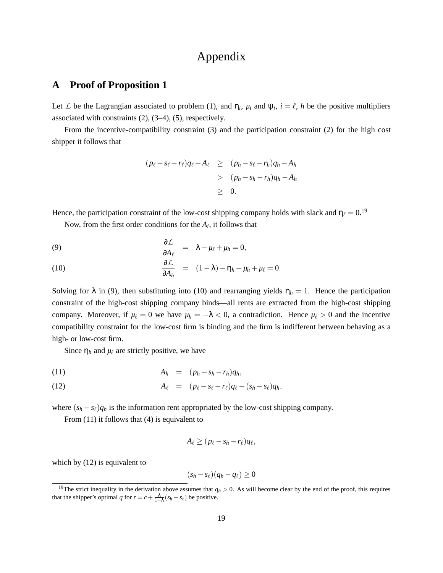# Appendix

### **A Proof of Proposition 1**

Let *L* be the Lagrangian associated to problem (1), and  $\eta_i$ ,  $\mu_i$  and  $\psi_i$ ,  $i = \ell$ , *h* be the positive multipliers associated with constraints (2), (3–4), (5), respectively.

From the incentive-compatibility constraint (3) and the participation constraint (2) for the high cost shipper it follows that

$$
(p_{\ell} - s_{\ell} - r_{\ell})q_{\ell} - A_{\ell} \ge (p_h - s_{\ell} - r_h)q_h - A_h
$$
  
> 
$$
(p_h - s_h - r_h)q_h - A_h
$$
  

$$
\ge 0.
$$

Hence, the participation constraint of the low-cost shipping company holds with slack and  $\eta_\ell = 0$ .<sup>19</sup>

Now, from the first order conditions for the  $A_i$ , it follows that

(9) 
$$
\frac{\partial \mathcal{L}}{\partial A_{\ell}} = \lambda - \mu_{\ell} + \mu_{h} = 0,
$$

(10) 
$$
\frac{\partial \mathcal{L}}{\partial A_h} = (1 - \lambda) - \eta_h - \mu_h + \mu_\ell = 0.
$$

Solving for  $\lambda$  in (9), then substituting into (10) and rearranging yields  $\eta_h = 1$ . Hence the participation constraint of the high-cost shipping company binds—all rents are extracted from the high-cost shipping company. Moreover, if  $\mu_{\ell} = 0$  we have  $\mu_h = -\lambda < 0$ , a contradiction. Hence  $\mu_{\ell} > 0$  and the incentive compatibility constraint for the low-cost firm is binding and the firm is indifferent between behaving as a high- or low-cost firm.

Since  $\eta_h$  and  $\mu_\ell$  are strictly positive, we have

$$
A_h = (p_h - s_h - r_h)q_h,
$$

$$
(12) \hspace{1cm} A_{\ell} = (p_{\ell} - s_{\ell} - r_{\ell})q_{\ell} - (s_h - s_{\ell})q_h,
$$

where  $(s_h - s_\ell)q_h$  is the information rent appropriated by the low-cost shipping company.

From (11) it follows that (4) is equivalent to

$$
A_{\ell} \geq (p_{\ell} - s_h - r_{\ell})q_{\ell},
$$

which by  $(12)$  is equivalent to

$$
(s_h - s_\ell)(q_h - q_\ell) \geq 0
$$

<sup>&</sup>lt;sup>19</sup>The strict inequality in the derivation above assumes that  $q_h > 0$ . As will become clear by the end of the proof, this requires that the shipper's optimal *q* for  $r = c + \frac{\lambda}{1-\lambda}(s_h - s_\ell)$  be positive.